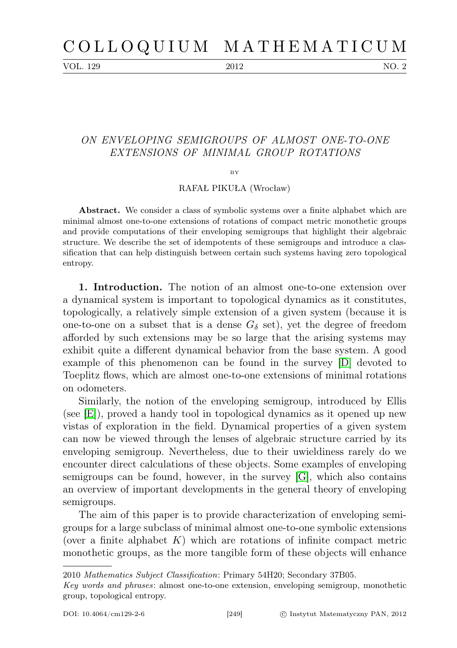VOL. 129 2012 NO. 2

## ON ENVELOPING SEMIGROUPS OF ALMOST ONE-TO-ONE EXTENSIONS OF MINIMAL GROUP ROTATIONS

 $BV$ 

RAFAŁ PIKUŁA (Wrocław)

Abstract. We consider a class of symbolic systems over a finite alphabet which are minimal almost one-to-one extensions of rotations of compact metric monothetic groups and provide computations of their enveloping semigroups that highlight their algebraic structure. We describe the set of idempotents of these semigroups and introduce a classification that can help distinguish between certain such systems having zero topological entropy.

1. Introduction. The notion of an almost one-to-one extension over a dynamical system is important to topological dynamics as it constitutes, topologically, a relatively simple extension of a given system (because it is one-to-one on a subset that is a dense  $G_{\delta}$  set), yet the degree of freedom afforded by such extensions may be so large that the arising systems may exhibit quite a different dynamical behavior from the base system. A good example of this phenomenon can be found in the survey [\[D\]](#page-13-0) devoted to Toeplitz flows, which are almost one-to-one extensions of minimal rotations on odometers.

Similarly, the notion of the enveloping semigroup, introduced by Ellis (see [\[E\]](#page-13-1)), proved a handy tool in topological dynamics as it opened up new vistas of exploration in the field. Dynamical properties of a given system can now be viewed through the lenses of algebraic structure carried by its enveloping semigroup. Nevertheless, due to their uwieldiness rarely do we encounter direct calculations of these objects. Some examples of enveloping semigroups can be found, however, in the survey [\[G\]](#page-13-2), which also contains an overview of important developments in the general theory of enveloping semigroups.

The aim of this paper is to provide characterization of enveloping semigroups for a large subclass of minimal almost one-to-one symbolic extensions (over a finite alphabet  $K$ ) which are rotations of infinite compact metric monothetic groups, as the more tangible form of these objects will enhance

<sup>2010</sup> Mathematics Subject Classification: Primary 54H20; Secondary 37B05.

Key words and phrases: almost one-to-one extension, enveloping semigroup, monothetic group, topological entropy.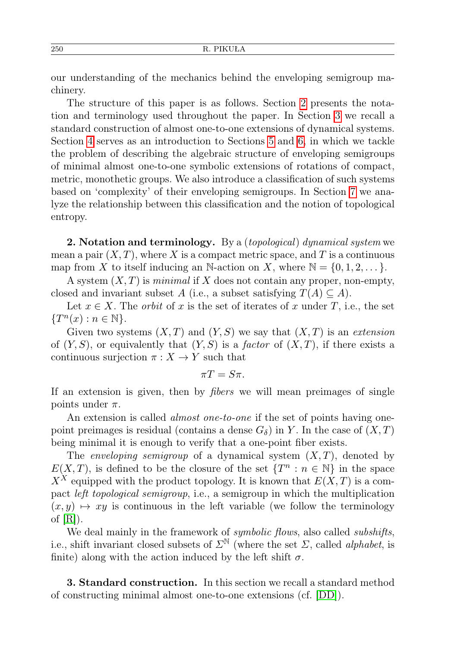our understanding of the mechanics behind the enveloping semigroup machinery.

The structure of this paper is as follows. Section [2](#page-1-0) presents the notation and terminology used throughout the paper. In Section [3](#page-1-1) we recall a standard construction of almost one-to-one extensions of dynamical systems. Section [4](#page-3-0) serves as an introduction to Sections [5](#page-4-0) and [6,](#page-7-0) in which we tackle the problem of describing the algebraic structure of enveloping semigroups of minimal almost one-to-one symbolic extensions of rotations of compact, metric, monothetic groups. We also introduce a classification of such systems based on 'complexity' of their enveloping semigroups. In Section [7](#page-10-0) we analyze the relationship between this classification and the notion of topological entropy.

<span id="page-1-0"></span>**2.** Notation and terminology. By a *(topological) dynamical system* we mean a pair  $(X, T)$ , where X is a compact metric space, and T is a continuous map from X to itself inducing an N-action on X, where  $\mathbb{N} = \{0, 1, 2, \ldots\}$ .

A system  $(X, T)$  is *minimal* if X does not contain any proper, non-empty, closed and invariant subset A (i.e., a subset satisfying  $T(A) \subseteq A$ ).

Let  $x \in X$ . The *orbit* of x is the set of iterates of x under T, i.e., the set  $\{T^n(x):n\in\mathbb{N}\}.$ 

Given two systems  $(X, T)$  and  $(Y, S)$  we say that  $(X, T)$  is an extension of  $(Y, S)$ , or equivalently that  $(Y, S)$  is a *factor* of  $(X, T)$ , if there exists a continuous surjection  $\pi: X \to Y$  such that

$$
\pi T=S\pi.
$$

If an extension is given, then by fibers we will mean preimages of single points under  $\pi$ .

An extension is called *almost one-to-one* if the set of points having onepoint preimages is residual (contains a dense  $G_{\delta}$ ) in Y. In the case of  $(X,T)$ being minimal it is enough to verify that a one-point fiber exists.

The *enveloping semigroup* of a dynamical system  $(X, T)$ , denoted by  $E(X,T)$ , is defined to be the closure of the set  $\{T^n : n \in \mathbb{N}\}\$ in the space  $X^X$  equipped with the product topology. It is known that  $E(X,T)$  is a compact left topological semigroup, i.e., a semigroup in which the multiplication  $(x, y) \mapsto xy$  is continuous in the left variable (we follow the terminology of  $[R]$ ).

We deal mainly in the framework of *symbolic flows*, also called *subshifts*, i.e., shift invariant closed subsets of  $\Sigma^{\mathbb{N}}$  (where the set  $\Sigma$ , called *alphabet*, is finite) along with the action induced by the left shift  $\sigma$ .

<span id="page-1-1"></span>3. Standard construction. In this section we recall a standard method of constructing minimal almost one-to-one extensions (cf. [\[DD\]](#page-13-4)).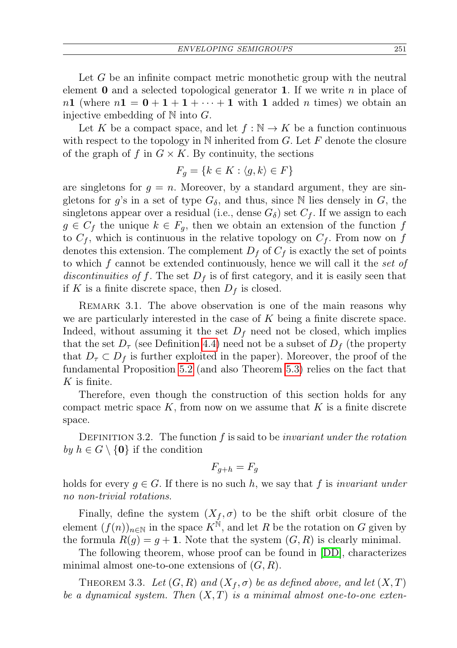Let G be an infinite compact metric monothetic group with the neutral element  $\bf{0}$  and a selected topological generator  $\bf{1}$ . If we write n in place of  $n1$  (where  $n1 = 0 + 1 + 1 + \cdots + 1$  with 1 added n times) we obtain an injective embedding of  $\mathbb N$  into  $G$ .

Let K be a compact space, and let  $f : \mathbb{N} \to K$  be a function continuous with respect to the topology in  $N$  inherited from G. Let F denote the closure of the graph of f in  $G \times K$ . By continuity, the sections

$$
F_g = \{ k \in K : \langle g, k \rangle \in F \}
$$

are singletons for  $g = n$ . Moreover, by a standard argument, they are singletons for g's in a set of type  $G_{\delta}$ , and thus, since N lies densely in G, the singletons appear over a residual (i.e., dense  $G_{\delta}$ ) set  $C_f$ . If we assign to each  $g \in C_f$  the unique  $k \in F_q$ , then we obtain an extension of the function f to  $C_f$ , which is continuous in the relative topology on  $C_f$ . From now on f denotes this extension. The complement  $D_f$  of  $C_f$  is exactly the set of points to which f cannot be extended continuously, hence we will call it the set of discontinuities of f. The set  $D<sub>f</sub>$  is of first category, and it is easily seen that if K is a finite discrete space, then  $D_f$  is closed.

REMARK 3.1. The above observation is one of the main reasons why we are particularly interested in the case of  $K$  being a finite discrete space. Indeed, without assuming it the set  $D_f$  need not be closed, which implies that the set  $D_{\tau}$  (see Definition [4.4\)](#page-4-1) need not be a subset of  $D_{f}$  (the property that  $D_{\tau} \subset D_f$  is further exploited in the paper). Moreover, the proof of the fundamental Proposition [5.2](#page-5-0) (and also Theorem [5.3\)](#page-6-0) relies on the fact that  $K$  is finite.

Therefore, even though the construction of this section holds for any compact metric space  $K$ , from now on we assume that  $K$  is a finite discrete space.

DEFINITION 3.2. The function  $f$  is said to be *invariant under the rotation* by  $h \in G \setminus \{0\}$  if the condition

$$
F_{g+h} = F_g
$$

holds for every  $g \in G$ . If there is no such h, we say that f is invariant under no non-trivial rotations.

Finally, define the system  $(X_f, \sigma)$  to be the shift orbit closure of the element  $(f(n))_{n\in\mathbb{N}}$  in the space  $K^{\mathbb{N}}$ , and let R be the rotation on G given by the formula  $R(q) = q + 1$ . Note that the system  $(G, R)$  is clearly minimal.

The following theorem, whose proof can be found in [\[DD\]](#page-13-4), characterizes minimal almost one-to-one extensions of  $(G, R)$ .

THEOREM 3.3. Let  $(G, R)$  and  $(X_f, \sigma)$  be as defined above, and let  $(X, T)$ be a dynamical system. Then  $(X, T)$  is a minimal almost one-to-one exten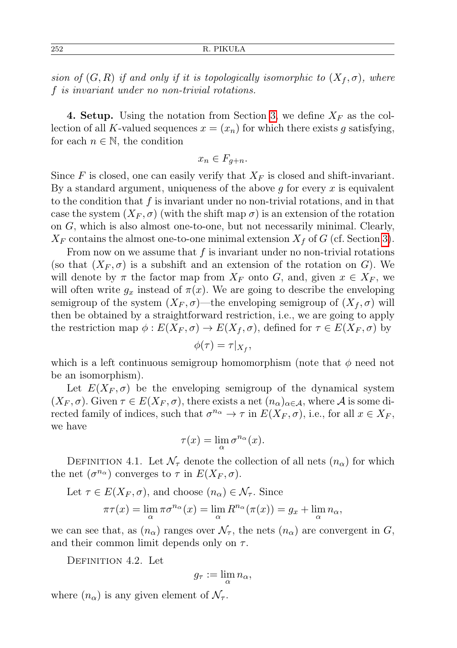252 R. PIKUŁA

sion of  $(G, R)$  if and only if it is topologically isomorphic to  $(X_f, \sigma)$ , where f is invariant under no non-trivial rotations.

<span id="page-3-0"></span>**4. Setup.** Using the notation from Section [3,](#page-1-1) we define  $X_F$  as the collection of all K-valued sequences  $x = (x_n)$  for which there exists g satisfying, for each  $n \in \mathbb{N}$ , the condition

$$
x_n \in F_{g+n}.
$$

Since F is closed, one can easily verify that  $X_F$  is closed and shift-invariant. By a standard argument, uniqueness of the above  $q$  for every  $x$  is equivalent to the condition that  $f$  is invariant under no non-trivial rotations, and in that case the system  $(X_F, \sigma)$  (with the shift map  $\sigma$ ) is an extension of the rotation on G, which is also almost one-to-one, but not necessarily minimal. Clearly,  $X_F$  contains the almost one-to-one minimal extension  $X_f$  of G (cf. Section [3\)](#page-1-1).

From now on we assume that  $f$  is invariant under no non-trivial rotations (so that  $(X_F, \sigma)$  is a subshift and an extension of the rotation on G). We will denote by  $\pi$  the factor map from  $X_F$  onto G, and, given  $x \in X_F$ , we will often write  $g_x$  instead of  $\pi(x)$ . We are going to describe the enveloping semigroup of the system  $(X_F, \sigma)$ —the enveloping semigroup of  $(X_f, \sigma)$  will then be obtained by a straightforward restriction, i.e., we are going to apply the restriction map  $\phi: E(X_F, \sigma) \to E(X_f, \sigma)$ , defined for  $\tau \in E(X_F, \sigma)$  by

$$
\phi(\tau) = \tau|_{X_f},
$$

which is a left continuous semigroup homomorphism (note that  $\phi$  need not be an isomorphism).

Let  $E(X_F, \sigma)$  be the enveloping semigroup of the dynamical system  $(X_F, \sigma)$ . Given  $\tau \in E(X_F, \sigma)$ , there exists a net  $(n_\alpha)_{\alpha \in \mathcal{A}}$ , where A is some directed family of indices, such that  $\sigma^{n_{\alpha}} \to \tau$  in  $E(X_F, \sigma)$ , i.e., for all  $x \in X_F$ , we have

$$
\tau(x)=\lim_\alpha \sigma^{n_\alpha}(x).
$$

DEFINITION 4.1. Let  $\mathcal{N}_{\tau}$  denote the collection of all nets  $(n_{\alpha})$  for which the net  $(\sigma^{n_{\alpha}})$  converges to  $\tau$  in  $E(X_F, \sigma)$ .

Let  $\tau \in E(X_F, \sigma)$ , and choose  $(n_\alpha) \in \mathcal{N}_{\tau}$ . Since

$$
\pi\tau(x) = \lim_{\alpha} \pi\sigma^{n_{\alpha}}(x) = \lim_{\alpha} R^{n_{\alpha}}(\pi(x)) = g_x + \lim_{\alpha} n_{\alpha},
$$

we can see that, as  $(n_{\alpha})$  ranges over  $\mathcal{N}_{\tau}$ , the nets  $(n_{\alpha})$  are convergent in G, and their common limit depends only on  $\tau$ .

DEFINITION 4.2. Let

$$
g_{\tau} := \lim_{\alpha} n_{\alpha},
$$

where  $(n_{\alpha})$  is any given element of  $\mathcal{N}_{\tau}$ .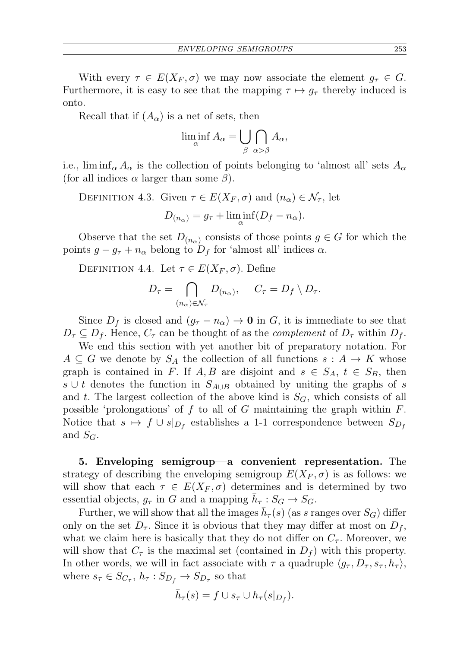With every  $\tau \in E(X_F, \sigma)$  we may now associate the element  $g_{\tau} \in G$ . Furthermore, it is easy to see that the mapping  $\tau \mapsto q_{\tau}$  thereby induced is onto.

Recall that if  $(A_{\alpha})$  is a net of sets, then

$$
\liminf_{\alpha} A_{\alpha} = \bigcup_{\beta} \bigcap_{\alpha > \beta} A_{\alpha},
$$

i.e., lim inf<sub>α</sub>  $A_{\alpha}$  is the collection of points belonging to 'almost all' sets  $A_{\alpha}$ (for all indices  $\alpha$  larger than some  $\beta$ ).

DEFINITION 4.3. Given  $\tau \in E(X_F, \sigma)$  and  $(n_\alpha) \in \mathcal{N}_{\tau}$ , let

$$
D_{(n_{\alpha})} = g_{\tau} + \liminf_{\alpha} (D_f - n_{\alpha}).
$$

Observe that the set  $D_{(n_{\alpha})}$  consists of those points  $g \in G$  for which the points  $g - g_{\tau} + n_{\alpha}$  belong to  $D_f$  for 'almost all' indices  $\alpha$ .

<span id="page-4-1"></span>DEFINITION 4.4. Let  $\tau \in E(X_F, \sigma)$ . Define

$$
D_{\tau} = \bigcap_{(n_{\alpha}) \in \mathcal{N}_{\tau}} D_{(n_{\alpha})}, \quad C_{\tau} = D_{f} \setminus D_{\tau}.
$$

Since  $D_f$  is closed and  $(g_{\tau} - n_{\alpha}) \to \mathbf{0}$  in G, it is immediate to see that  $D_{\tau} \subseteq D_f$ . Hence,  $C_{\tau}$  can be thought of as the *complement* of  $D_{\tau}$  within  $D_f$ .

We end this section with yet another bit of preparatory notation. For  $A \subseteq G$  we denote by  $S_A$  the collection of all functions  $s : A \to K$  whose graph is contained in F. If A, B are disjoint and  $s \in S_A$ ,  $t \in S_B$ , then s ∪ t denotes the function in  $S_{A\cup B}$  obtained by uniting the graphs of s and t. The largest collection of the above kind is  $S_G$ , which consists of all possible 'prolongations' of f to all of G maintaining the graph within  $F$ . Notice that  $s \mapsto f \cup s|_{D_f}$  establishes a 1-1 correspondence between  $S_{D_f}$ and  $S_G$ .

<span id="page-4-0"></span>5. Enveloping semigroup—a convenient representation. The strategy of describing the enveloping semigroup  $E(X_F, \sigma)$  is as follows: we will show that each  $\tau \in E(X_F, \sigma)$  determines and is determined by two essential objects,  $g_{\tau}$  in G and a mapping  $\bar{h}_{\tau}: S_G \to S_G$ .

Further, we will show that all the images  $\bar{h}_{\tau}(s)$  (as s ranges over  $S_G$ ) differ only on the set  $D_{\tau}$ . Since it is obvious that they may differ at most on  $D_{f}$ , what we claim here is basically that they do not differ on  $C_{\tau}$ . Moreover, we will show that  $C_{\tau}$  is the maximal set (contained in  $D_f$ ) with this property. In other words, we will in fact associate with  $\tau$  a quadruple  $\langle g_{\tau} , D_{\tau} , s_{\tau} , h_{\tau} \rangle$ , where  $s_{\tau} \in S_{C_{\tau}}, h_{\tau}: S_{D_f} \to S_{D_{\tau}}$  so that

$$
\bar{h}_{\tau}(s) = f \cup s_{\tau} \cup h_{\tau}(s|_{D_f}).
$$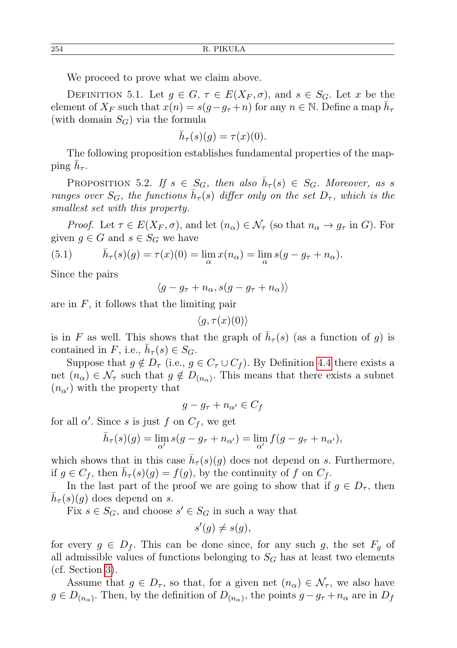We proceed to prove what we claim above.

DEFINITION 5.1. Let  $g \in G$ ,  $\tau \in E(X_F, \sigma)$ , and  $s \in S_G$ . Let x be the element of  $X_F$  such that  $x(n) = s(g - g_\tau + n)$  for any  $n \in \mathbb{N}$ . Define a map  $\bar{h}_\tau$ (with domain  $S_G$ ) via the formula

$$
\bar{h}_{\tau}(s)(g) = \tau(x)(0).
$$

The following proposition establishes fundamental properties of the mapping  $\bar{h}_{\tau}$ .

<span id="page-5-0"></span>PROPOSITION 5.2. If  $s \in S_G$ , then also  $\bar{h}_{\tau}(s) \in S_G$ . Moreover, as s ranges over  $S_G$ , the functions  $\bar{h}_{\tau}(s)$  differ only on the set  $D_{\tau}$ , which is the smallest set with this property.

*Proof.* Let  $\tau \in E(X_F, \sigma)$ , and let  $(n_\alpha) \in \mathcal{N}_\tau$  (so that  $n_\alpha \to g_\tau$  in G). For given  $g \in G$  and  $s \in S_G$  we have

<span id="page-5-1"></span>(5.1) 
$$
\bar{h}_{\tau}(s)(g) = \tau(x)(0) = \lim_{\alpha} x(n_{\alpha}) = \lim_{\alpha} s(g - g_{\tau} + n_{\alpha}).
$$

Since the pairs

 $\langle g - g_\tau + n_\alpha, s(g - g_\tau + n_\alpha) \rangle$ 

are in  $F$ , it follows that the limiting pair

 $\langle g, \tau(x)(0) \rangle$ 

is in F as well. This shows that the graph of  $\bar{h}_{\tau}(s)$  (as a function of g) is contained in F, i.e.,  $\bar{h}_{\tau}(s) \in S_G$ .

Suppose that  $g \notin D_{\tau}$  (i.e.,  $g \in C_{\tau} \cup C_{f}$ ). By Definition [4.4](#page-4-1) there exists a net  $(n_{\alpha}) \in \mathcal{N}_{\tau}$  such that  $g \notin D_{(n_{\alpha})}$ . This means that there exists a subnet  $(n_{\alpha})$  with the property that

$$
g - g_{\tau} + n_{\alpha'} \in C_f
$$

for all  $\alpha'$ . Since s is just f on  $C_f$ , we get

$$
\bar{h}_{\tau}(s)(g) = \lim_{\alpha'} s(g - g_{\tau} + n_{\alpha'}) = \lim_{\alpha'} f(g - g_{\tau} + n_{\alpha'}),
$$

which shows that in this case  $\bar{h}_{\tau}(s)(g)$  does not depend on s. Furthermore, if  $g \in C_f$ , then  $\bar{h}_{\tau}(s)(g) = f(g)$ , by the continuity of f on  $C_f$ .

In the last part of the proof we are going to show that if  $g \in D_{\tau}$ , then  $\bar{h}_{\tau}(s)(g)$  does depend on s.

Fix  $s \in S_G$ , and choose  $s' \in S_G$  in such a way that

$$
s'(g) \neq s(g),
$$

for every  $g \in D_f$ . This can be done since, for any such g, the set  $F_q$  of all admissible values of functions belonging to  $S_G$  has at least two elements (cf. Section [3\)](#page-1-1).

Assume that  $g \in D_{\tau}$ , so that, for a given net  $(n_{\alpha}) \in \mathcal{N}_{\tau}$ , we also have  $g \in D_{(n_{\alpha})}$ . Then, by the definition of  $D_{(n_{\alpha})}$ , the points  $g - g_{\tau} + n_{\alpha}$  are in  $D_f$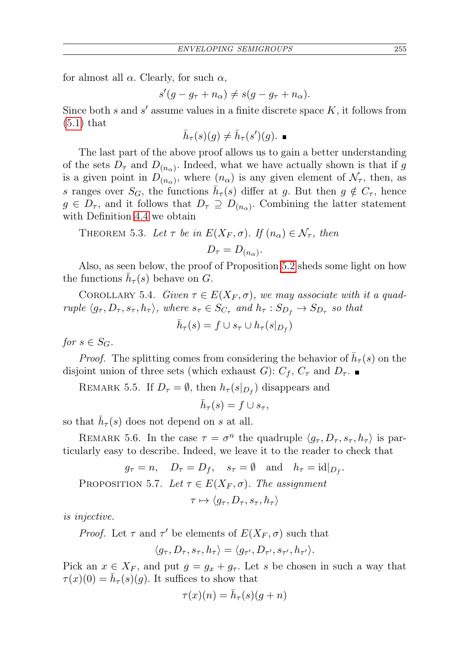for almost all  $\alpha$ . Clearly, for such  $\alpha$ ,

 $s'(g - g_{\tau} + n_{\alpha}) \neq s(g - g_{\tau} + n_{\alpha}).$ 

Since both s and s' assume values in a finite discrete space  $K$ , it follows from  $(5.1)$  that

$$
\bar{h}_{\tau}(s)(g) \neq \bar{h}_{\tau}(s')(g).
$$

The last part of the above proof allows us to gain a better understanding of the sets  $D_{\tau}$  and  $D_{(n_{\alpha})}$ . Indeed, what we have actually shown is that if g is a given point in  $D_{(n_\alpha)}$ , where  $(n_\alpha)$  is any given element of  $\mathcal{N}_{\tau}$ , then, as s ranges over  $S_G$ , the functions  $\bar{h}_{\tau}(s)$  differ at g. But then  $g \notin C_{\tau}$ , hence  $g \in D_{\tau}$ , and it follows that  $D_{\tau} \supseteq D_{(n_{\alpha})}$ . Combining the latter statement with Definition [4.4](#page-4-1) we obtain

<span id="page-6-0"></span>THEOREM 5.3. Let 
$$
\tau
$$
 be in  $E(X_F, \sigma)$ . If  $(n_{\alpha}) \in \mathcal{N}_{\tau}$ , then

$$
D_{\tau}=D_{(n_{\alpha})}.
$$

Also, as seen below, the proof of Proposition [5.2](#page-5-0) sheds some light on how the functions  $\bar{h}_{\tau}(s)$  behave on G.

COROLLARY 5.4. Given  $\tau \in E(X_F, \sigma)$ , we may associate with it a quadruple  $\langle g_\tau, D_\tau, s_\tau, h_\tau \rangle$ , where  $s_\tau \in S_{C_\tau}$  and  $h_\tau : S_{D_f} \to S_{D_\tau}$  so that

$$
\bar{h}_{\tau}(s) = f \cup s_{\tau} \cup h_{\tau}(s|_{D_f})
$$

for  $s \in S_G$ .

*Proof.* The splitting comes from considering the behavior of  $\bar{h}_{\tau}(s)$  on the disjoint union of three sets (which exhaust G):  $C_f$ ,  $C_{\tau}$  and  $D_{\tau}$ .

REMARK 5.5. If  $D_{\tau} = \emptyset$ , then  $h_{\tau}(s|_{D_f})$  disappears and

$$
\bar{h}_{\tau}(s) = f \cup s_{\tau},
$$

so that  $\bar{h}_{\tau}(s)$  does not depend on s at all.

REMARK 5.6. In the case  $\tau = \sigma^n$  the quadruple  $\langle g_\tau, D_\tau, s_\tau, h_\tau \rangle$  is particularly easy to describe. Indeed, we leave it to the reader to check that

 $g_{\tau} = n$ ,  $D_{\tau} = D_f$ ,  $s_{\tau} = \emptyset$  and  $h_{\tau} = id|_{D_f}$ . PROPOSITION 5.7. Let  $\tau \in E(X_F, \sigma)$ . The assignment  $\tau \mapsto \langle q_\tau, D_\tau, s_\tau, h_\tau \rangle$ 

is injective.

*Proof.* Let  $\tau$  and  $\tau'$  be elements of  $E(X_F, \sigma)$  such that

$$
\langle g_{\tau}, D_{\tau}, s_{\tau}, h_{\tau} \rangle = \langle g_{\tau'}, D_{\tau'}, s_{\tau'}, h_{\tau'} \rangle.
$$

Pick an  $x \in X_F$ , and put  $g = g_x + g_\tau$ . Let s be chosen in such a way that  $\tau(x)(0) = \bar{h}_{\tau}(s)(g)$ . It suffices to show that

$$
\tau(x)(n) = \bar{h}_{\tau}(s)(g+n)
$$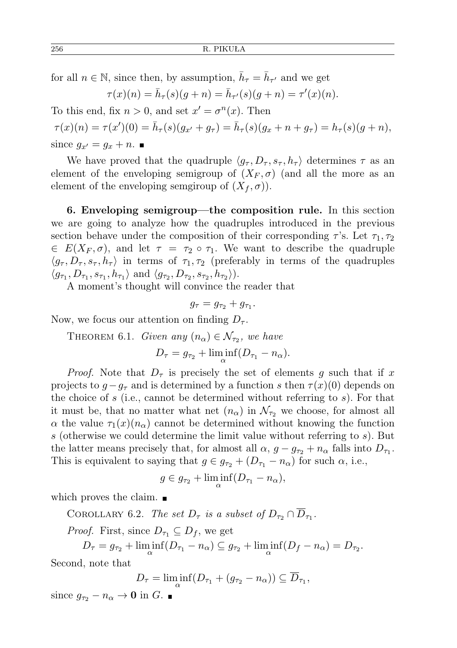for all  $n \in \mathbb{N}$ , since then, by assumption,  $\bar{h}_{\tau} = \bar{h}_{\tau'}$  and we get

$$
\tau(x)(n) = \bar{h}_{\tau}(s)(g+n) = \bar{h}_{\tau'}(s)(g+n) = \tau'(x)(n).
$$

To this end, fix  $n > 0$ , and set  $x' = \sigma^n(x)$ . Then

 $\tau(x)(n) = \tau(x')(0) = \bar{h}_{\tau}(s)(g_{x'} + g_{\tau}) = \bar{h}_{\tau}(s)(g_x + n + g_{\tau}) = h_{\tau}(s)(g + n),$ since  $g_{x'} = g_x + n$ .

We have proved that the quadruple  $\langle g_\tau , D_\tau , s_\tau , h_\tau \rangle$  determines  $\tau$  as an element of the enveloping semigroup of  $(X_F, \sigma)$  (and all the more as an element of the enveloping semgiroup of  $(X_f, \sigma)$ ).

<span id="page-7-0"></span>6. Enveloping semigroup—the composition rule. In this section we are going to analyze how the quadruples introduced in the previous section behave under the composition of their corresponding  $\tau$ 's. Let  $\tau_1, \tau_2$  $\in E(X_F, \sigma)$ , and let  $\tau = \tau_2 \circ \tau_1$ . We want to describe the quadruple  $\langle g_{\tau} , D_{\tau} , s_{\tau} , h_{\tau} \rangle$  in terms of  $\tau_1 , \tau_2$  (preferably in terms of the quadruples  $\langle g_{\tau_1}, D_{\tau_1}, s_{\tau_1}, h_{\tau_1} \rangle$  and  $\langle g_{\tau_2}, D_{\tau_2}, s_{\tau_2}, h_{\tau_2} \rangle$ ).

A moment's thought will convince the reader that

$$
g_{\tau}=g_{\tau_2}+g_{\tau_1}.
$$

<span id="page-7-2"></span>Now, we focus our attention on finding  $D_{\tau}$ .

THEOREM 6.1. Given any  $(n_{\alpha}) \in \mathcal{N}_{\tau_2}$ , we have

$$
D_{\tau} = g_{\tau_2} + \liminf_{\alpha} (D_{\tau_1} - n_{\alpha}).
$$

*Proof.* Note that  $D_{\tau}$  is precisely the set of elements g such that if x projects to  $g-g_{\tau}$  and is determined by a function s then  $\tau(x)(0)$  depends on the choice of s (i.e., cannot be determined without referring to s). For that it must be, that no matter what net  $(n_\alpha)$  in  $\mathcal{N}_{\tau_2}$  we choose, for almost all  $\alpha$  the value  $\tau_1(x)(n_\alpha)$  cannot be determined without knowing the function s (otherwise we could determine the limit value without referring to  $s$ ). But the latter means precisely that, for almost all  $\alpha$ ,  $g - g_{\tau_2} + n_{\alpha}$  falls into  $D_{\tau_1}$ . This is equivalent to saying that  $g \in g_{\tau_2} + (D_{\tau_1} - n_\alpha)$  for such  $\alpha$ , i.e.,

$$
g \in g_{\tau_2} + \liminf_{\alpha} (D_{\tau_1} - n_{\alpha}),
$$

<span id="page-7-1"></span>which proves the claim.

COROLLARY 6.2. The set  $D_{\tau}$  is a subset of  $D_{\tau_2} \cap \overline{D}_{\tau_1}$ .

*Proof.* First, since  $D_{\tau_1} \subseteq D_f$ , we get

 $D_{\tau} = g_{\tau_2} + \liminf_{\alpha} (D_{\tau_1} - n_{\alpha}) \subseteq g_{\tau_2} + \liminf_{\alpha} (D_f - n_{\alpha}) = D_{\tau_2}.$ 

Second, note that

$$
D_{\tau} = \liminf_{\alpha} (D_{\tau_1} + (g_{\tau_2} - n_{\alpha})) \subseteq \overline{D}_{\tau_1},
$$

since  $g_{\tau_2} - n_{\alpha} \to \mathbf{0}$  in G.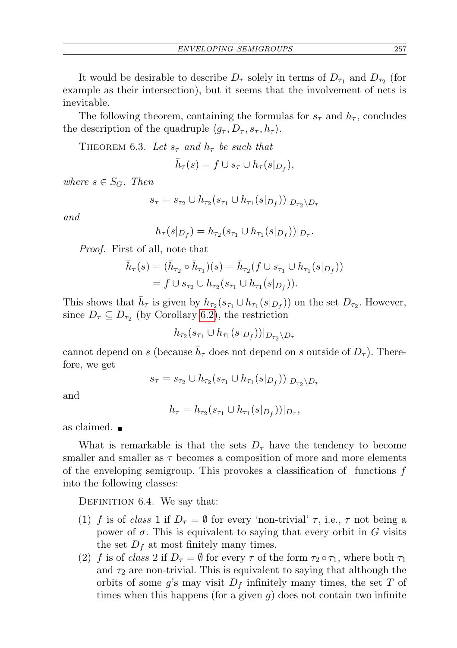ENVELOPING SEMIGROUPS 257

It would be desirable to describe  $D_{\tau}$  solely in terms of  $D_{\tau_1}$  and  $D_{\tau_2}$  (for example as their intersection), but it seems that the involvement of nets is inevitable.

The following theorem, containing the formulas for  $s<sub>\tau</sub>$  and  $h<sub>\tau</sub>$ , concludes the description of the quadruple  $\langle g_\tau , D_\tau , s_\tau , h_\tau \rangle$ .

<span id="page-8-0"></span>THEOREM 6.3. Let  $s_{\tau}$  and  $h_{\tau}$  be such that

$$
\bar h_\tau(s)=f\cup s_\tau\cup h_\tau(s|_{D_f}),
$$

where  $s \in S_G$ . Then

$$
s_{\tau} = s_{\tau_2} \cup h_{\tau_2}(s_{\tau_1} \cup h_{\tau_1}(s|_{D_f}))|_{D_{\tau_2} \setminus D_{\tau_1}}
$$

and

$$
h_{\tau}(s|_{D_f}) = h_{\tau_2}(s_{\tau_1} \cup h_{\tau_1}(s|_{D_f}))|_{D_{\tau}}.
$$

Proof. First of all, note that

$$
\bar{h}_{\tau}(s) = (\bar{h}_{\tau_2} \circ \bar{h}_{\tau_1})(s) = \bar{h}_{\tau_2}(f \cup s_{\tau_1} \cup h_{\tau_1}(s|_{D_f}))
$$
  
=  $f \cup s_{\tau_2} \cup h_{\tau_2}(s_{\tau_1} \cup h_{\tau_1}(s|_{D_f})).$ 

This shows that  $\bar{h}_{\tau}$  is given by  $h_{\tau_2}(s_{\tau_1} \cup h_{\tau_1}(s|_{D_f}))$  on the set  $D_{\tau_2}$ . However, since  $D_{\tau} \subseteq D_{\tau_2}$  (by Corollary [6.2\)](#page-7-1), the restriction

 $h_{\tau_2}(s_{\tau_1} \cup h_{\tau_1}(s|_{D_f}))|_{D_{\tau_2} \setminus D_{\tau_1}}$ 

cannot depend on s (because  $\bar{h}_{\tau}$  does not depend on s outside of  $D_{\tau}$ ). Therefore, we get

$$
s_{\tau} = s_{\tau_2} \cup h_{\tau_2}(s_{\tau_1} \cup h_{\tau_1}(s|_{D_f}))|_{D_{\tau_2} \setminus D_{\tau}}
$$

and

 $h_{\tau} = h_{\tau_2}(s_{\tau_1} \cup h_{\tau_1}(s|_{D_f}))|_{D_{\tau}},$ 

as claimed.

What is remarkable is that the sets  $D<sub>\tau</sub>$  have the tendency to become smaller and smaller as  $\tau$  becomes a composition of more and more elements of the enveloping semigroup. This provokes a classification of functions  $f$ into the following classes:

<span id="page-8-1"></span>DEFINITION 6.4. We say that:

- (1) f is of class 1 if  $D_{\tau} = \emptyset$  for every 'non-trivial'  $\tau$ , i.e.,  $\tau$  not being a power of  $\sigma$ . This is equivalent to saying that every orbit in G visits the set  $D_f$  at most finitely many times.
- (2) f is of class 2 if  $D_{\tau} = \emptyset$  for every  $\tau$  of the form  $\tau_2 \circ \tau_1$ , where both  $\tau_1$ and  $\tau_2$  are non-trivial. This is equivalent to saying that although the orbits of some g's may visit  $D_f$  infinitely many times, the set T of times when this happens (for a given  $q$ ) does not contain two infinite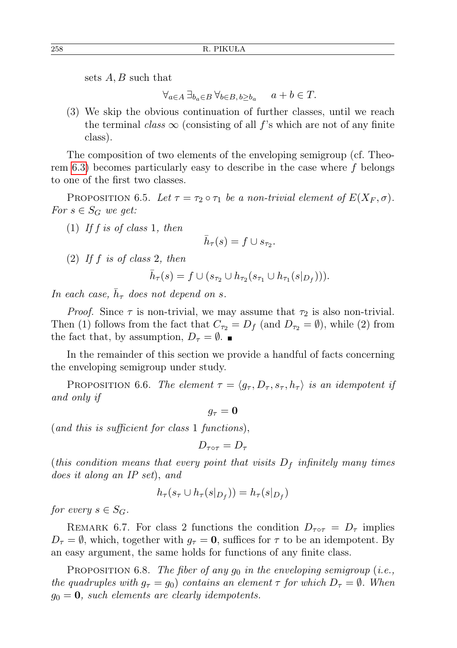sets  $A, B$  such that

 $\forall_{a \in A} \ \exists_{b_a \in B} \ \forall_{b \in B, b \ge b_a} \quad a + b \in T.$ 

(3) We skip the obvious continuation of further classes, until we reach the terminal class  $\infty$  (consisting of all f's which are not of any finite class).

The composition of two elements of the enveloping semigroup (cf. Theorem  $6.3$ ) becomes particularly easy to describe in the case where f belongs to one of the first two classes.

PROPOSITION 6.5. Let  $\tau = \tau_2 \circ \tau_1$  be a non-trivial element of  $E(X_F, \sigma)$ . For  $s \in S_G$  we get:

 $(1)$  If f is of class 1, then

$$
\bar{h}_{\tau}(s) = f \cup s_{\tau_2}.
$$

 $(2)$  If f is of class 2, then

 $\bar{h}_{\tau}(s) = f \cup (s_{\tau_2} \cup h_{\tau_2}(s_{\tau_1} \cup h_{\tau_1}(s|_{D_f}))).$ 

In each case,  $\bar{h}_{\tau}$  does not depend on s.

*Proof.* Since  $\tau$  is non-trivial, we may assume that  $\tau_2$  is also non-trivial. Then (1) follows from the fact that  $C_{\tau_2} = D_f$  (and  $D_{\tau_2} = \emptyset$ ), while (2) from the fact that, by assumption,  $D_{\tau} = \emptyset$ .

In the remainder of this section we provide a handful of facts concerning the enveloping semigroup under study.

PROPOSITION 6.6. The element  $\tau = \langle g_\tau, D_\tau, s_\tau, h_\tau \rangle$  is an idempotent if and only if

 $q_\tau = 0$ 

(and this is sufficient for class 1 functions),

 $D_{\tau\circ\tau} = D_{\tau}$ 

(this condition means that every point that visits  $D_f$  infinitely many times does it along an IP set), and

$$
h_{\tau}(s_{\tau} \cup h_{\tau}(s|_{D_f})) = h_{\tau}(s|_{D_f})
$$

for every  $s \in S_G$ .

REMARK 6.7. For class 2 functions the condition  $D_{\tau \circ \tau} = D_{\tau}$  implies  $D_{\tau} = \emptyset$ , which, together with  $g_{\tau} = 0$ , suffices for  $\tau$  to be an idempotent. By an easy argument, the same holds for functions of any finite class.

PROPOSITION 6.8. The fiber of any  $g_0$  in the enveloping semigroup (i.e., the quadruples with  $g_{\tau} = g_0$  contains an element  $\tau$  for which  $D_{\tau} = \emptyset$ . When  $g_0 = 0$ , such elements are clearly idempotents.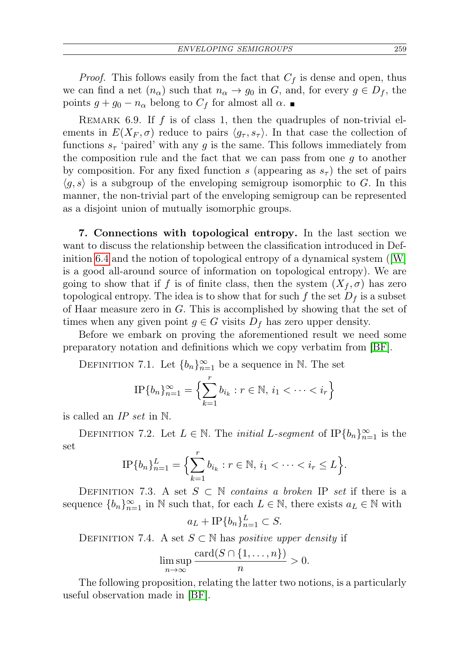*Proof.* This follows easily from the fact that  $C_f$  is dense and open, thus we can find a net  $(n_{\alpha})$  such that  $n_{\alpha} \rightarrow g_0$  in G, and, for every  $g \in D_f$ , the points  $g + g_0 - n_\alpha$  belong to  $C_f$  for almost all  $\alpha$ .

REMARK 6.9. If  $f$  is of class 1, then the quadruples of non-trivial elements in  $E(X_F, \sigma)$  reduce to pairs  $\langle g_{\tau}, s_{\tau} \rangle$ . In that case the collection of functions  $s_{\tau}$  'paired' with any g is the same. This follows immediately from the composition rule and the fact that we can pass from one  $g$  to another by composition. For any fixed function s (appearing as  $s<sub>\tau</sub>$ ) the set of pairs  $\langle g, s \rangle$  is a subgroup of the enveloping semigroup isomorphic to G. In this manner, the non-trivial part of the enveloping semigroup can be represented as a disjoint union of mutually isomorphic groups.

<span id="page-10-0"></span>7. Connections with topological entropy. In the last section we want to discuss the relationship between the classification introduced in Definition [6.4](#page-8-1) and the notion of topological entropy of a dynamical system ([\[W\]](#page-13-5) is a good all-around source of information on topological entropy). We are going to show that if f is of finite class, then the system  $(X_f, \sigma)$  has zero topological entropy. The idea is to show that for such f the set  $D_f$  is a subset of Haar measure zero in  $G$ . This is accomplished by showing that the set of times when any given point  $g \in G$  visits  $D_f$  has zero upper density.

Before we embark on proving the aforementioned result we need some preparatory notation and definitions which we copy verbatim from [\[BF\]](#page-12-0).

DEFINITION 7.1. Let  ${b_n}_{n=1}^{\infty}$  be a sequence in N. The set

$$
\text{IP}\{b_n\}_{n=1}^{\infty} = \left\{\sum_{k=1}^{r} b_{i_k} : r \in \mathbb{N}, i_1 < \dots < i_r\right\}
$$

is called an  $IP$  set in  $\mathbb N$ .

DEFINITION 7.2. Let  $L \in \mathbb{N}$ . The *initial* L-segment of IP ${b_n}_{n=1}^{\infty}$  is the set

$$
\text{IP}\{b_n\}_{n=1}^L = \left\{\sum_{k=1}^r b_{i_k} : r \in \mathbb{N}, i_1 < \dots < i_r \leq L\right\}.
$$

DEFINITION 7.3. A set  $S \subset \mathbb{N}$  contains a broken IP set if there is a sequence  ${b_n}_{n=1}^{\infty}$  in N such that, for each  $L \in \mathbb{N}$ , there exists  $a_L \in \mathbb{N}$  with

$$
a_L + \text{IP}\{b_n\}_{n=1}^L \subset S.
$$

DEFINITION 7.4. A set  $S \subset \mathbb{N}$  has *positive upper density* if

$$
\limsup_{n\to\infty}\frac{\operatorname{card}(S\cap\{1,\ldots,n\})}{n}>0.
$$

<span id="page-10-1"></span>The following proposition, relating the latter two notions, is a particularly useful observation made in [\[BF\]](#page-12-0).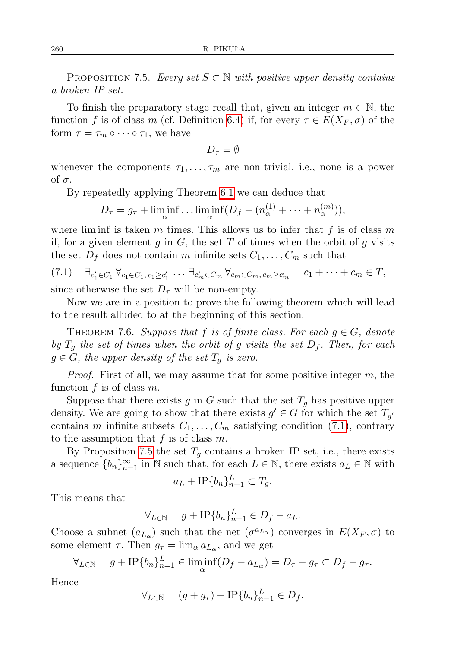PROPOSITION 7.5. Every set  $S \subset \mathbb{N}$  with positive upper density contains a broken IP set.

To finish the preparatory stage recall that, given an integer  $m \in \mathbb{N}$ , the function f is of class m (cf. Definition [6.4\)](#page-8-1) if, for every  $\tau \in E(X_F, \sigma)$  of the form  $\tau = \tau_m \circ \cdots \circ \tau_1$ , we have

$$
D_{\tau}=\emptyset
$$

whenever the components  $\tau_1, \ldots, \tau_m$  are non-trivial, i.e., none is a power of σ.

By repeatedly applying Theorem [6.1](#page-7-2) we can deduce that

$$
D_{\tau} = g_{\tau} + \liminf_{\alpha} \dots \liminf_{\alpha} (D_f - (n_{\alpha}^{(1)} + \dots + n_{\alpha}^{(m)})),
$$

where lim inf is taken m times. This allows us to infer that f is of class m if, for a given element q in  $G$ , the set T of times when the orbit of q visits the set  $D_f$  does not contain m infinite sets  $C_1, \ldots, C_m$  such that

<span id="page-11-0"></span> $(7.1)$  $C_1 \, \forall_{c_1 \in C_1, c_1 \geq c'_1} \, \cdots \, \exists_{c'_m \in C_m} \, \forall_{c_m \in C_m, c_m \geq c'_m} \quad c_1 + \cdots + c_m \in T,$ since otherwise the set  $D_{\tau}$  will be non-empty.

Now we are in a position to prove the following theorem which will lead to the result alluded to at the beginning of this section.

<span id="page-11-1"></span>THEOREM 7.6. Suppose that f is of finite class. For each  $g \in G$ , denote by  $T_q$  the set of times when the orbit of g visits the set  $D_f$ . Then, for each  $g \in G$ , the upper density of the set  $T_q$  is zero.

*Proof.* First of all, we may assume that for some positive integer  $m$ , the function  $f$  is of class  $m$ .

Suppose that there exists g in G such that the set  $T_q$  has positive upper density. We are going to show that there exists  $g' \in G$  for which the set  $T_{g'}$ contains m infinite subsets  $C_1, \ldots, C_m$  satisfying condition [\(7.1\)](#page-11-0), contrary to the assumption that  $f$  is of class  $m$ .

By Proposition [7.5](#page-10-1) the set  $T<sub>g</sub>$  contains a broken IP set, i.e., there exists a sequence  ${b_n}_{n=1}^{\infty}$  in N such that, for each  $L \in \mathbb{N}$ , there exists  $a_L \in \mathbb{N}$  with

$$
a_L + \text{IP}\{b_n\}_{n=1}^L \subset T_g.
$$

This means that

$$
\forall_{L \in \mathbb{N}} \quad g + \text{IP}\{b_n\}_{n=1}^L \in D_f - a_L.
$$

Choose a subnet  $(a_{L_{\alpha}})$  such that the net  $(\sigma^{a_{L_{\alpha}}})$  converges in  $E(X_F, \sigma)$  to some element  $\tau$ . Then  $g_{\tau} = \lim_{\alpha} a_{L_{\alpha}}$ , and we get

$$
\forall_{L \in \mathbb{N}} \quad g + \text{IP}\{b_n\}_{n=1}^L \in \liminf_{\alpha} (D_f - a_{L_{\alpha}}) = D_{\tau} - g_{\tau} \subset D_f - g_{\tau}.
$$

Hence

$$
\forall_{L \in \mathbb{N}} \quad (g + g_{\tau}) + \text{IP}\{b_n\}_{n=1}^L \in D_f.
$$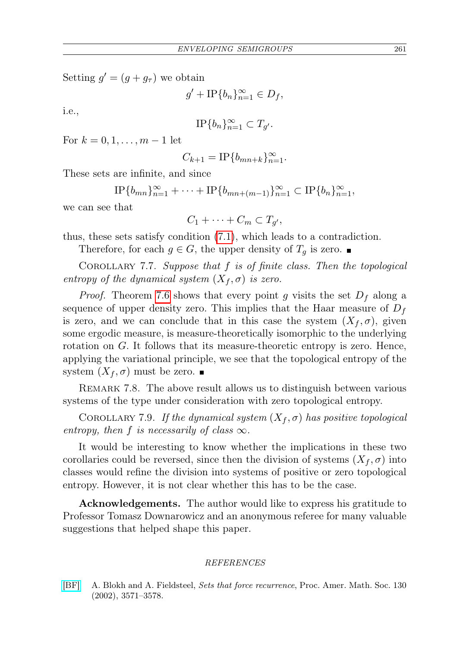Setting  $g' = (g + g_{\tau})$  we obtain

$$
g' + \text{IP}\{b_n\}_{n=1}^{\infty} \in D_f,
$$

i.e.,

$$
\text{IP}\{b_n\}_{n=1}^{\infty} \subset T_{g'}.
$$

For  $k = 0, 1, ..., m - 1$  let

$$
C_{k+1} = \text{IP}\{b_{mn+k}\}_{n=1}^{\infty}.
$$

These sets are infinite, and since

$$
\text{IP}\{b_{mn}\}_{n=1}^{\infty} + \cdots + \text{IP}\{b_{mn+(m-1)}\}_{n=1}^{\infty} \subset \text{IP}\{b_n\}_{n=1}^{\infty},
$$

we can see that

$$
C_1 + \cdots + C_m \subset T_{g'},
$$

thus, these sets satisfy condition [\(7.1\)](#page-11-0), which leads to a contradiction.

Therefore, for each  $g \in G$ , the upper density of  $T<sub>q</sub>$  is zero.

COROLLARY 7.7. Suppose that  $f$  is of finite class. Then the topological entropy of the dynamical system  $(X_f, \sigma)$  is zero.

*Proof.* Theorem [7.6](#page-11-1) shows that every point g visits the set  $D_f$  along a sequence of upper density zero. This implies that the Haar measure of  $D_f$ is zero, and we can conclude that in this case the system  $(X_f, \sigma)$ , given some ergodic measure, is measure-theoretically isomorphic to the underlying rotation on  $G$ . It follows that its measure-theoretic entropy is zero. Hence, applying the variational principle, we see that the topological entropy of the system  $(X_f, \sigma)$  must be zero.

REMARK 7.8. The above result allows us to distinguish between various systems of the type under consideration with zero topological entropy.

COROLLARY 7.9. If the dynamical system  $(X_f, \sigma)$  has positive topological entropy, then f is necessarily of class  $\infty$ .

It would be interesting to know whether the implications in these two corollaries could be reversed, since then the division of systems  $(X_f, \sigma)$  into classes would refine the division into systems of positive or zero topological entropy. However, it is not clear whether this has to be the case.

Acknowledgements. The author would like to express his gratitude to Professor Tomasz Downarowicz and an anonymous referee for many valuable suggestions that helped shape this paper.

## REFERENCES

<span id="page-12-0"></span>[\[BF\]](http://dx.doi.org/10.1090/S0002-9939-02-06349-9) A. Blokh and A. Fieldsteel, Sets that force recurrence, Proc. Amer. Math. Soc. 130 (2002), 3571–3578.